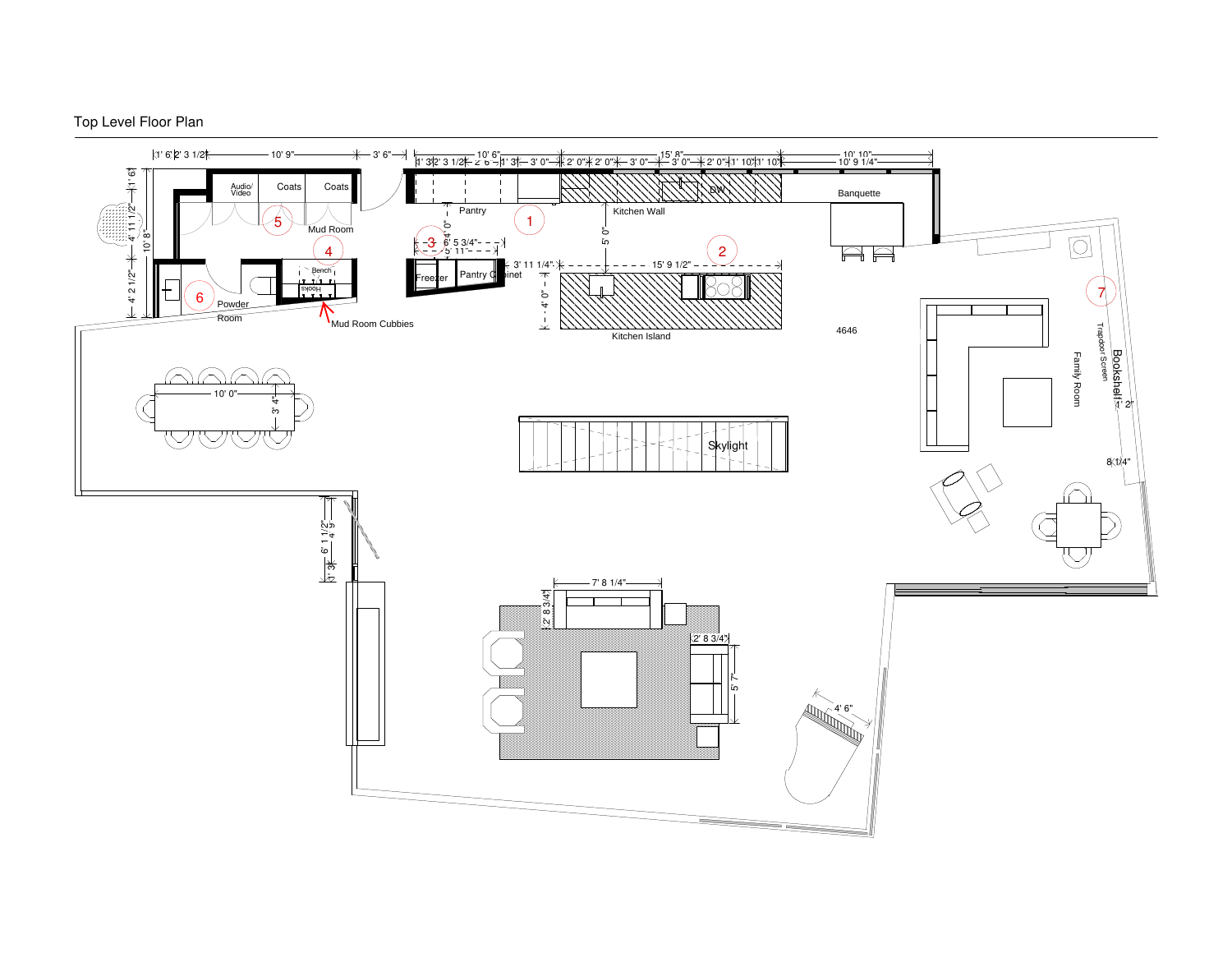

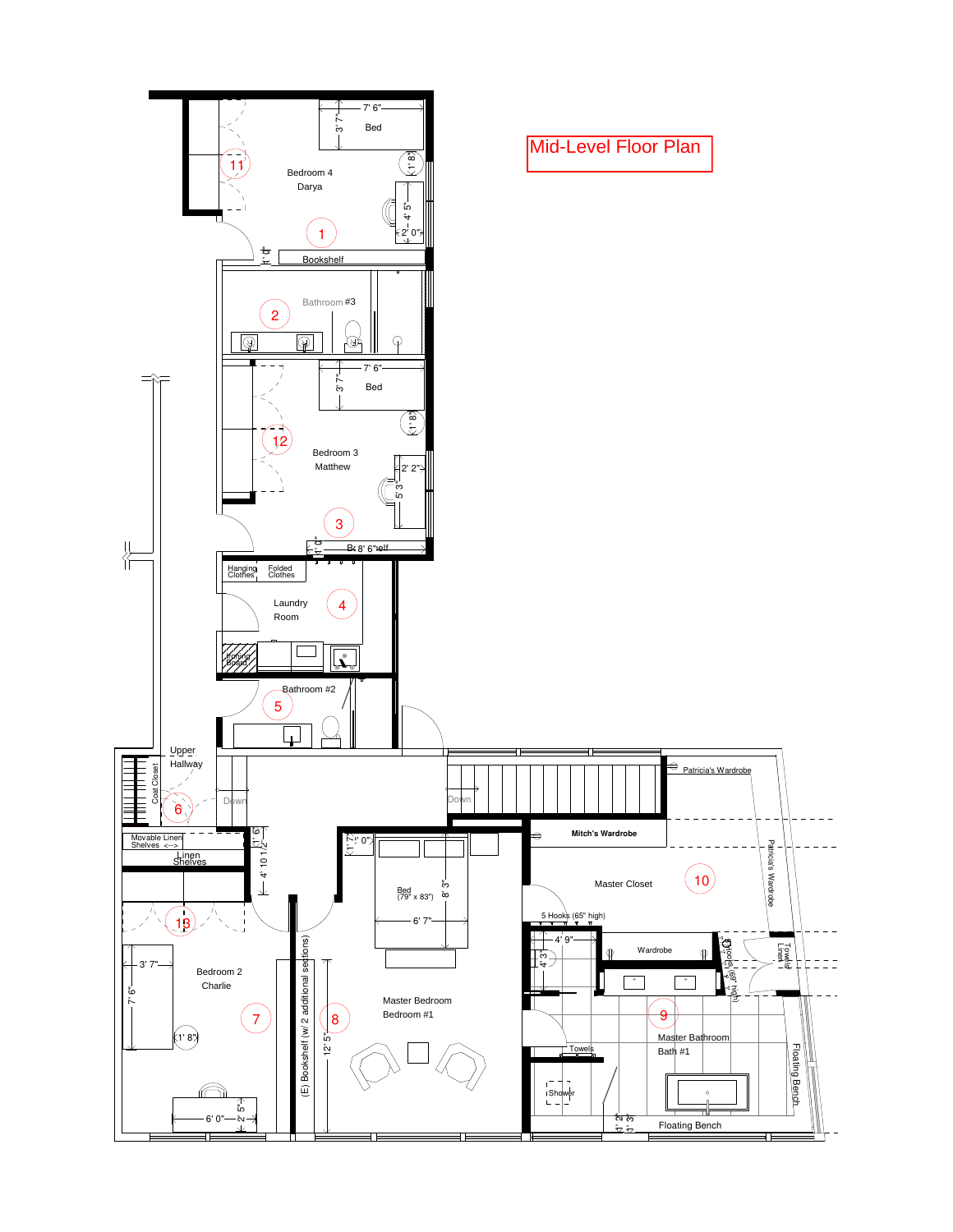